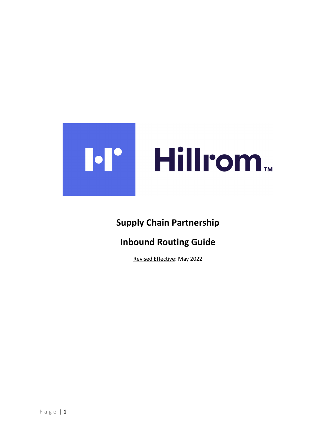

# Supply Chain Partnership

# Inbound Routing Guide

Revised Effective: May 2022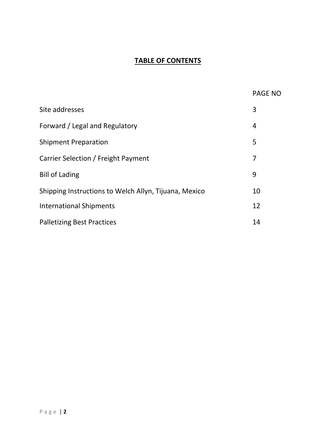### TABLE OF CONTENTS

|                                                       | <b>PAGE NO</b> |
|-------------------------------------------------------|----------------|
| Site addresses                                        | 3              |
| Forward / Legal and Regulatory                        | 4              |
| <b>Shipment Preparation</b>                           | 5              |
| Carrier Selection / Freight Payment                   | 7              |
| <b>Bill of Lading</b>                                 | 9              |
| Shipping Instructions to Welch Allyn, Tijuana, Mexico | 10             |
| <b>International Shipments</b>                        | 12             |
| <b>Palletizing Best Practices</b>                     | 14             |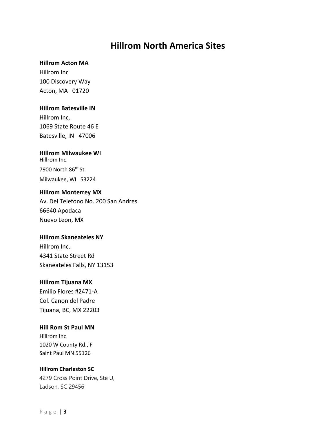## Hillrom North America Sites

#### Hillrom Acton MA

Hillrom Inc 100 Discovery Way Acton, MA 01720

#### Hillrom Batesville IN

Hillrom Inc. 1069 State Route 46 E Batesville, IN 47006

#### Hillrom Milwaukee WI Hillrom Inc.

7900 North 86th St Milwaukee, WI 53224

#### Hillrom Monterrey MX

Av. Del Telefono No. 200 San Andres 66640 Apodaca Nuevo Leon, MX

### Hillrom Skaneateles NY

Hillrom Inc. 4341 State Street Rd Skaneateles Falls, NY 13153

#### Hillrom Tijuana MX

Emilio Flores #2471-A Col. Canon del Padre Tijuana, BC, MX 22203

### Hill Rom St Paul MN

Hillrom Inc. 1020 W County Rd., F Saint Paul MN 55126

### Hillrom Charleston SC

4279 Cross Point Drive, Ste U, Ladson, SC 29456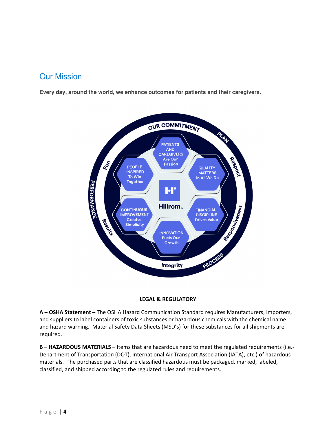## Our Mission

**Every day, around the world, we enhance outcomes for patients and their caregivers.** 



#### LEGAL & REGULATORY

A – OSHA Statement – The OSHA Hazard Communication Standard requires Manufacturers, Importers, and suppliers to label containers of toxic substances or hazardous chemicals with the chemical name and hazard warning. Material Safety Data Sheets (MSD's) for these substances for all shipments are required.

B - HAZARDOUS MATERIALS - Items that are hazardous need to meet the regulated requirements (i.e.-Department of Transportation (DOT), International Air Transport Association (IATA), etc.) of hazardous materials. The purchased parts that are classified hazardous must be packaged, marked, labeled, classified, and shipped according to the regulated rules and requirements.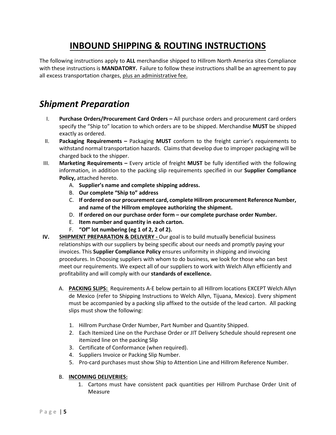# INBOUND SHIPPING & ROUTING INSTRUCTIONS

The following instructions apply to ALL merchandise shipped to Hillrom North America sites Compliance with these instructions is **MANDATORY.** Failure to follow these instructions shall be an agreement to pay all excess transportation charges, plus an administrative fee.

# Shipment Preparation

- I. Purchase Orders/Procurement Card Orders All purchase orders and procurement card orders specify the "Ship to" location to which orders are to be shipped. Merchandise MUST be shipped exactly as ordered.
- II. Packaging Requirements Packaging MUST conform to the freight carrier's requirements to withstand normal transportation hazards. Claims that develop due to improper packaging will be charged back to the shipper.
- III. Marketing Requirements Every article of freight MUST be fully identified with the following information, in addition to the packing slip requirements specified in our Supplier Compliance Policy, attached hereto.
	- A. Supplier's name and complete shipping address.
	- B. Our complete "Ship to" address
	- C. If ordered on our procurement card, complete Hillrom procurement Reference Number, and name of the Hillrom employee authorizing the shipment.
	- D. If ordered on our purchase order form our complete purchase order Number.
	- E. Item number and quantity in each carton.
	- F. "Of" lot numbering (eg 1 of 2, 2 of 2).
- IV. SHIPMENT PREPARATION & DELIVERY Our goal is to build mutually beneficial business relationships with our suppliers by being specific about our needs and promptly paying your invoices. This Supplier Compliance Policy ensures uniformity in shipping and invoicing procedures. In Choosing suppliers with whom to do business, we look for those who can best meet our requirements. We expect all of our suppliers to work with Welch Allyn efficiently and profitability and will comply with our standards of excellence.
	- A. PACKING SLIPS: Requirements A-E below pertain to all Hillrom locations EXCEPT Welch Allyn de Mexico (refer to Shipping Instructions to Welch Allyn, Tijuana, Mexico). Every shipment must be accompanied by a packing slip affixed to the outside of the lead carton. All packing slips must show the following:
		- 1. Hillrom Purchase Order Number, Part Number and Quantity Shipped.
		- 2. Each Itemized Line on the Purchase Order or JIT Delivery Schedule should represent one itemized line on the packing Slip
		- 3. Certificate of Conformance (when required).
		- 4. Suppliers Invoice or Packing Slip Number.
		- 5. Pro-card purchases must show Ship to Attention Line and Hillrom Reference Number.

#### B. INCOMING DELIVERIES:

1. Cartons must have consistent pack quantities per Hillrom Purchase Order Unit of Measure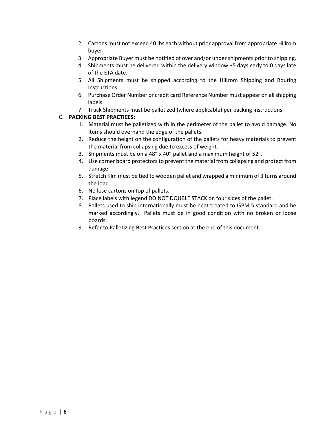- 2. Cartons must not exceed 40 lbs each without prior approval from appropriate Hillrom buyer.
- 3. Appropriate Buyer must be notified of over and/or under shipments prior to shipping.
- 4. Shipments must be delivered within the delivery window +5 days early to 0 days late of the ETA date.
- 5. All Shipments must be shipped according to the Hillrom Shipping and Routing Instructions.
- 6. Purchase Order Number or credit card Reference Number must appear on all shipping labels.
- 7. Truck Shipments must be palletized (where applicable) per packing instructions

#### C. PACKING BEST PRACTICES:

- 1. Material must be palletized with in the perimeter of the pallet to avoid damage. No items should overhand the edge of the pallets.
- 2. Reduce the height on the configuration of the pallets for heavy materials to prevent the material from collapsing due to excess of weight.
- 3. Shipments must be on a 48" x 40" pallet and a maximum height of 52".
- 4. Use corner board protectors to prevent the material from collapsing and protect from damage.
- 5. Stretch film must be tied to wooden pallet and wrapped a minimum of 3 turns around the load.
- 6. No lose cartons on top of pallets.
- 7. Place labels with legend DO NOT DOUBLE STACK on four sides of the pallet.
- 8. Pallets used to ship internationally must be heat treated to ISPM 5 standard and be marked accordingly. Pallets must be in good condition with no broken or loose boards.
- 9. Refer to Palletizing Best Practices section at the end of this document.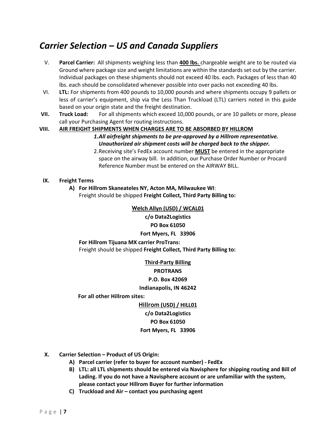# Carrier Selection – US and Canada Suppliers

- V. Parcel Carrier: All shipments weighing less than 400 lbs. chargeable weight are to be routed via Ground where package size and weight limitations are within the standards set out by the carrier. Individual packages on these shipments should not exceed 40 lbs. each. Packages of less than 40 lbs. each should be consolidated whenever possible into over packs not exceeding 40 lbs.
- VI. LTL: For shipments from 400 pounds to 10,000 pounds and where shipments occupy 9 pallets or less of carrier's equipment, ship via the Less Than Truckload (LTL) carriers noted in this guide based on your origin state and the freight destination.
- VII. Truck Load: For all shipments which exceed 10,000 pounds, or are 10 pallets or more, please call your Purchasing Agent for routing instructions.

#### VIII. AIR FREIGHT SHIPMENTS WHEN CHARGES ARE TO BE ABSORBED BY HILLROM

- 1.All airfreight shipments to be pre-approved by a Hillrom representative. Unauthorized air shipment costs will be charged back to the shipper.
- 2. Receiving site's FedEx account number **MUST** be entered in the appropriate space on the airway bill. In addition, our Purchase Order Number or Procard Reference Number must be entered on the AIRWAY BILL.

#### IX. Freight Terms

A) For Hillrom Skaneateles NY, Acton MA, Milwaukee WI: Freight should be shipped Freight Collect, Third Party Billing to:

#### Welch Allyn (USD) / WCAL01

c/o Data2Logistics PO Box 61050 Fort Myers, FL 33906

For Hillrom Tijuana MX carrier ProTrans: Freight should be shipped Freight Collect, Third Party Billing to:

> Third-Party Billing PROTRANS P.O. Box 42069 Indianapolis, IN 46242

For all other Hillrom sites:

Hillrom (USD) / HILL01 c/o Data2Logistics PO Box 61050 Fort Myers, FL 33906

- X. Carrier Selection Product of US Origin:
	- A) Parcel carrier (refer to buyer for account number) FedEx
	- B) LTL: all LTL shipments should be entered via Navisphere for shipping routing and Bill of Lading. If you do not have a Navisphere account or are unfamiliar with the system, please contact your Hillrom Buyer for further information
	- C) Truckload and Air contact you purchasing agent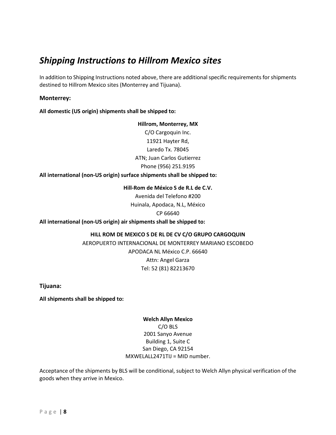## Shipping Instructions to Hillrom Mexico sites

In addition to Shipping Instructions noted above, there are additional specific requirements for shipments destined to Hillrom Mexico sites (Monterrey and Tijuana).

#### Monterrey:

All domestic (US origin) shipments shall be shipped to:

### Hillrom, Monterrey, MX C/O Cargoquin Inc. 11921 Hayter Rd,

Laredo Tx. 78045 ATN; Juan Carlos Gutierrez Phone (956) 251.9195

All international (non-US origin) surface shipments shall be shipped to:

Hill-Rom de México S de R.L de C.V.

Avenida del Telefono #200 Huinala, Apodaca, N.L, México CP 66640

All international (non-US origin) air shipments shall be shipped to:

#### HILL ROM DE MEXICO S DE RL DE CV C/O GRUPO CARGOQUIN

AEROPUERTO INTERNACIONAL DE MONTERREY MARIANO ESCOBEDO APODACA NL México C.P. 66640 Attn: Angel Garza Tel: 52 (81) 82213670

Tijuana:

All shipments shall be shipped to:

Welch Allyn Mexico C/O BLS 2001 Sanyo Avenue Building 1, Suite C San Diego, CA 92154 MXWELALL2471TIJ = MID number.

Acceptance of the shipments by BLS will be conditional, subject to Welch Allyn physical verification of the goods when they arrive in Mexico.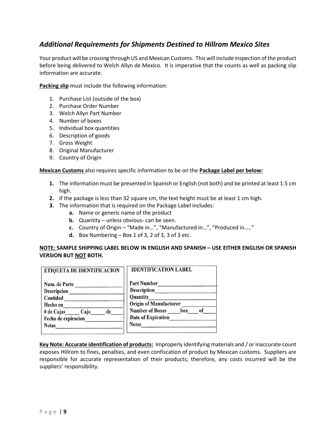### Additional Requirements for Shipments Destined to Hillrom Mexico Sites

Your product will be crossing through US and Mexican Customs. This will include inspection of the product before being delivered to Welch Allyn de Mexico. It is imperative that the counts as well as packing slip information are accurate.

Packing slip must include the following information:

- 1. Purchase List (outside of the box)
- 2. Purchase Order Number
- 3. Welch Allyn Part Number
- 4. Number of boxes
- 5. Individual box quantities
- 6. Description of goods
- 7. Gross Weight
- 8. Original Manufacturer
- 9. Country of Origin

#### Mexican Customs also requires specific information to be on the **Package Label per below:**

- 1. The information must be presented in Spanish or English (not both) and be printed at least 1.5 cm high.
- 2. If the package is less than 32 square cm, the text height must be at least 1 cm high.
- **3.** The information that is required on the Package Label includes:
	- a. Name or generic name of the product
	- **b.** Quantity unless obvious- can be seen.
	- c. Country of Origin "Made in…", "Manufactured in…", "Produced in….."
	- d. Box Numbering  $-$  Box 1 of 3, 2 of 3, 3 of 3 etc.

#### NOTE: SAMPLE SHIPPING LABEL BELOW IN ENGLISH AND SPANISH – USE EITHER ENGLISH OR SPANISH VERSION BUT NOT BOTH.

| ETIQUETA DE IDENTIFICACION | <b>IDENTIFICATION LABEL</b>   |  |  |  |
|----------------------------|-------------------------------|--|--|--|
| Num. de Parte              | <b>Part Number</b>            |  |  |  |
| Descripcion                | <b>Description</b>            |  |  |  |
| Cantidad                   | <b>Quantity</b>               |  |  |  |
| Hecho en                   | <b>Origin of Manufacturer</b> |  |  |  |
| de<br>$#$ de Cajas<br>Caja | Number of Boxes box of        |  |  |  |
| Fecha de expiracion        | Date of Expiration            |  |  |  |
| <b>Notas</b>               | <b>Notes</b>                  |  |  |  |
|                            |                               |  |  |  |

Key Note: Accurate identification of products: Improperly identifying materials and / or inaccurate count exposes HIllrom to fines, penalties, and even confiscation of product by Mexican customs. Suppliers are responsible for accurate representation of their products; therefore, any costs incurred will be the suppliers' responsibility.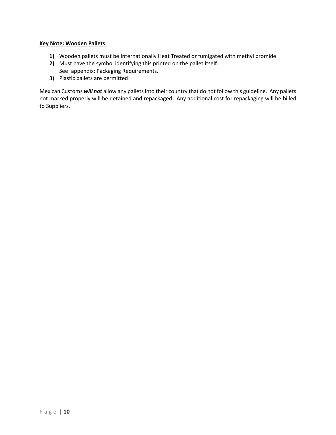#### Key Note: Wooden Pallets:

- 1) Wooden pallets must be Internationally Heat Treated or fumigated with methyl bromide.
- 2) Must have the symbol identifying this printed on the pallet itself. See: appendix: Packaging Requirements.
- 3) Plastic pallets are permitted

Mexican Customs will not allow any pallets into their country that do not follow this guideline. Any pallets not marked properly will be detained and repackaged. Any additional cost for repackaging will be billed to Suppliers.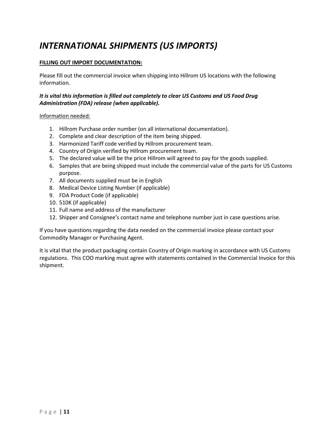# INTERNATIONAL SHIPMENTS (US IMPORTS)

#### FILLING OUT IMPORT DOCUMENTATION:

Please fill out the commercial invoice when shipping into Hillrom US locations with the following information.

#### It is vital this information is filled out completely to clear US Customs and US Food Drug Administration (FDA) release (when applicable).

#### Information needed:

- 1. Hillrom Purchase order number (on all international documentation).
- 2. Complete and clear description of the item being shipped.
- 3. Harmonized Tariff code verified by Hillrom procurement team.
- 4. Country of Origin verified by Hillrom procurement team.
- 5. The declared value will be the price Hillrom will agreed to pay for the goods supplied.
- 6. Samples that are being shipped must include the commercial value of the parts for US Customs purpose.
- 7. All documents supplied must be in English
- 8. Medical Device Listing Number (if applicable)
- 9. FDA Product Code (if applicable)
- 10. 510K (if applicable)
- 11. Full name and address of the manufacturer
- 12. Shipper and Consignee's contact name and telephone number just in case questions arise.

If you have questions regarding the data needed on the commercial invoice please contact your Commodity Manager or Purchasing Agent.

It is vital that the product packaging contain Country of Origin marking in accordance with US Customs regulations. This COO marking must agree with statements contained in the Commercial Invoice for this shipment.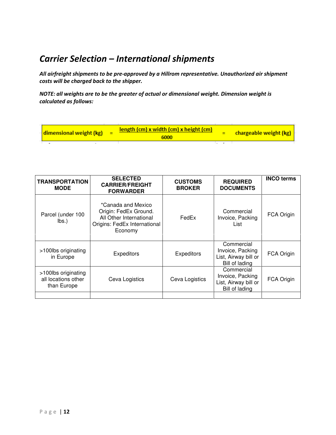# Carrier Selection – International shipments

All airfreight shipments to be pre-approved by a Hillrom representative. Unauthorized air shipment costs will be charged back to the shipper.

NOTE: all weights are to be the greater of actual or dimensional weight. Dimension weight is calculated as follows:

| dimensional weight (kg) | <b>length (cm) x width (cm) x height (cm)</b><br>6000 |  | $\frac{1}{2}$ chargeable weight (kg) |
|-------------------------|-------------------------------------------------------|--|--------------------------------------|
|                         |                                                       |  |                                      |

| <b>TRANSPORTATION</b><br><b>MODE</b>                      | <b>SELECTED</b><br><b>CARRIER/FREIGHT</b><br><b>FORWARDER</b>                                                     | <b>CUSTOMS</b><br><b>BROKER</b> | <b>REQUIRED</b><br><b>DOCUMENTS</b>                                      | <b>INCO terms</b> |
|-----------------------------------------------------------|-------------------------------------------------------------------------------------------------------------------|---------------------------------|--------------------------------------------------------------------------|-------------------|
| Parcel (under 100<br>$\mathsf{lbs.}$                      | *Canada and Mexico<br>Origin: FedEx Ground.<br>All Other International<br>Origins: FedEx International<br>Economy | FedEx                           | Commercial<br>Invoice, Packing<br>List                                   | FCA Origin        |
| >100lbs originating<br>in Europe                          | <b>Expeditors</b>                                                                                                 | <b>Expeditors</b>               | Commercial<br>Invoice, Packing<br>List, Airway bill or<br>Bill of lading | FCA Origin        |
| >100lbs originating<br>all locations other<br>than Europe | Ceva Logistics                                                                                                    | Ceva Logistics                  | Commercial<br>Invoice, Packing<br>List, Airway bill or<br>Bill of lading | <b>FCA Origin</b> |
|                                                           |                                                                                                                   |                                 |                                                                          |                   |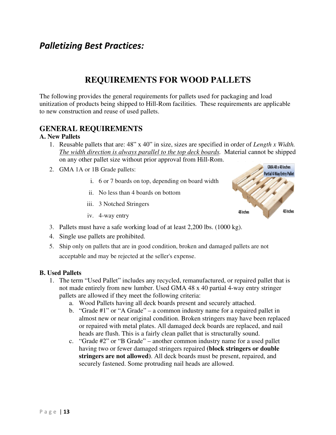## Palletizing Best Practices:

### **REQUIREMENTS FOR WOOD PALLETS**

The following provides the general requirements for pallets used for packaging and load unitization of products being shipped to Hill-Rom facilities*.* These requirements are applicable to new construction and reuse of used pallets.

### **GENERAL REQUIREMENTS**

#### **A. New Pallets**

- 1. Reusable pallets that are: 48" x 40" in size, sizes are specified in order of *Length x Width. The width direction is always parallel to the top deck boards.* Material cannot be shipped on any other pallet size without prior approval from Hill-Rom.
- 2. GMA 1A or 1B Grade pallets:
	- i. 6 or 7 boards on top, depending on board width
	- ii. No less than 4 boards on bottom
	- iii. 3 Notched Stringers
	- iv. 4-way entry



- 3. Pallets must have a safe working load of at least 2,200 lbs. (1000 kg).
- 4. Single use pallets are prohibited.
- 5. Ship only on pallets that are in good condition, broken and damaged pallets are not acceptable and may be rejected at the seller's expense.

#### **B. Used Pallets**

- 1. The term "Used Pallet" includes any recycled, remanufactured, or repaired pallet that is not made entirely from new lumber. Used GMA 48 x 40 partial 4-way entry stringer pallets are allowed if they meet the following criteria:
	- a. Wood Pallets having all deck boards present and securely attached.
	- b. "Grade #1" or "A Grade" a common industry name for a repaired pallet in almost new or near original condition. Broken stringers may have been replaced or repaired with metal plates. All damaged deck boards are replaced, and nail heads are flush. This is a fairly clean pallet that is structurally sound.
	- c. "Grade #2" or "B Grade" another common industry name for a used pallet having two or fewer damaged stringers repaired **(block stringers or double stringers are not allowed)**. All deck boards must be present, repaired, and securely fastened. Some protruding nail heads are allowed.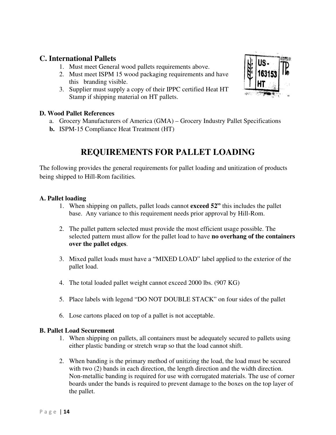### **C. International Pallets**

- 1. Must meet General wood pallets requirements above.
- 2. Must meet ISPM 15 wood packaging requirements and have this branding visible.
- 3. Supplier must supply a copy of their IPPC certified Heat HT Stamp if shipping material on HT pallets.

### **D. Wood Pallet References**

- a. Grocery Manufacturers of America (GMA) Grocery Industry Pallet Specifications
- **b.** ISPM-15 Compliance Heat Treatment (HT)

# **REQUIREMENTS FOR PALLET LOADING**

The following provides the general requirements for pallet loading and unitization of products being shipped to Hill-Rom facilities*.* 

### **A. Pallet loading**

- 1. When shipping on pallets, pallet loads cannot **exceed 52"** this includes the pallet base. Any variance to this requirement needs prior approval by Hill-Rom.
- 2. The pallet pattern selected must provide the most efficient usage possible. The selected pattern must allow for the pallet load to have **no overhang of the containers over the pallet edges**.
- 3. Mixed pallet loads must have a "MIXED LOAD" label applied to the exterior of the pallet load.
- 4. The total loaded pallet weight cannot exceed 2000 lbs. (907 KG)
- 5. Place labels with legend "DO NOT DOUBLE STACK" on four sides of the pallet
- 6. Lose cartons placed on top of a pallet is not acceptable.

### **B. Pallet Load Securement**

- 1. When shipping on pallets, all containers must be adequately secured to pallets using either plastic banding or stretch wrap so that the load cannot shift.
- 2. When banding is the primary method of unitizing the load, the load must be secured with two (2) bands in each direction, the length direction and the width direction. Non-metallic banding is required for use with corrugated materials. The use of corner boards under the bands is required to prevent damage to the boxes on the top layer of the pallet.

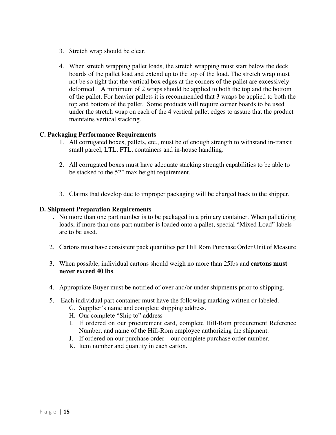- 3. Stretch wrap should be clear.
- 4. When stretch wrapping pallet loads, the stretch wrapping must start below the deck boards of the pallet load and extend up to the top of the load. The stretch wrap must not be so tight that the vertical box edges at the corners of the pallet are excessively deformed. A minimum of 2 wraps should be applied to both the top and the bottom of the pallet. For heavier pallets it is recommended that 3 wraps be applied to both the top and bottom of the pallet. Some products will require corner boards to be used under the stretch wrap on each of the 4 vertical pallet edges to assure that the product maintains vertical stacking.

### **C. Packaging Performance Requirements**

- 1. All corrugated boxes, pallets, etc., must be of enough strength to withstand in-transit small parcel, LTL, FTL, containers and in-house handling.
- 2. All corrugated boxes must have adequate stacking strength capabilities to be able to be stacked to the 52" max height requirement.
- 3. Claims that develop due to improper packaging will be charged back to the shipper.

#### **D. Shipment Preparation Requirements**

- 1. No more than one part number is to be packaged in a primary container. When palletizing loads, if more than one-part number is loaded onto a pallet, special "Mixed Load" labels are to be used.
- 2. Cartons must have consistent pack quantities per Hill Rom Purchase Order Unit of Measure
- 3. When possible, individual cartons should weigh no more than 25lbs and **cartons must never exceed 40 lbs**.
- 4. Appropriate Buyer must be notified of over and/or under shipments prior to shipping.
- 5. Each individual part container must have the following marking written or labeled.
	- G. Supplier's name and complete shipping address.
	- H. Our complete "Ship to" address
	- I. If ordered on our procurement card, complete Hill-Rom procurement Reference Number, and name of the Hill-Rom employee authorizing the shipment.
	- J. If ordered on our purchase order our complete purchase order number.
	- K. Item number and quantity in each carton.